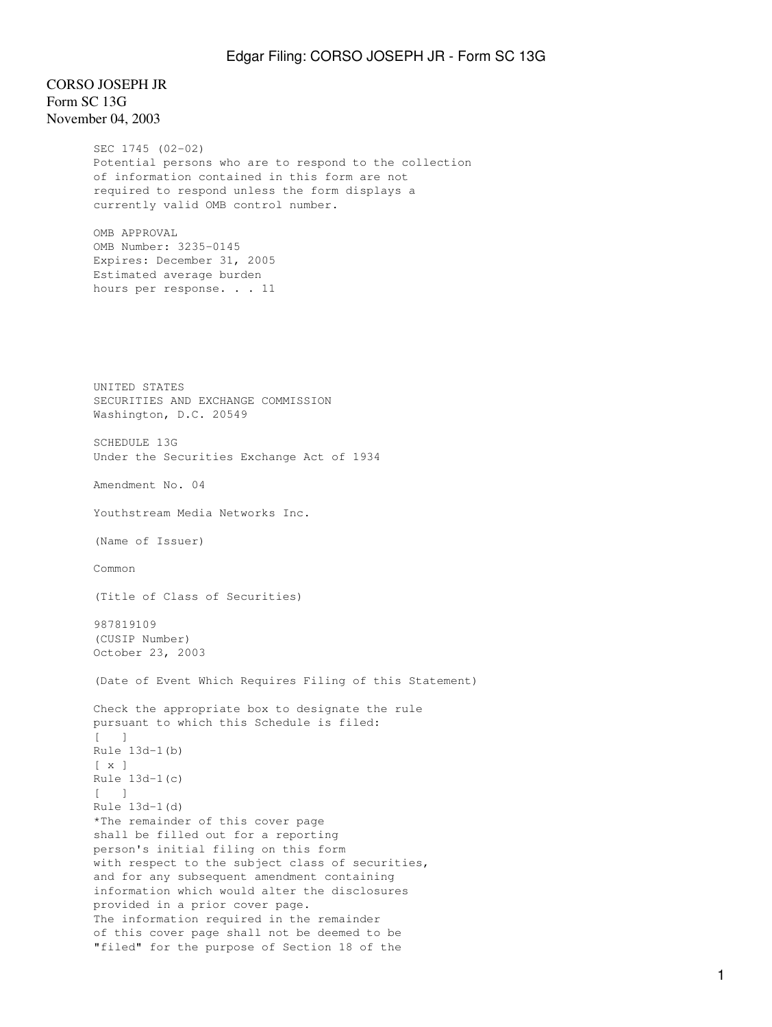# CORSO JOSEPH JR Form SC 13G November 04, 2003

SEC 1745 (02-02) Potential persons who are to respond to the collection of information contained in this form are not required to respond unless the form displays a currently valid OMB control number. OMB APPROVAL OMB Number: 3235-0145 Expires: December 31, 2005 Estimated average burden hours per response. . . 11 UNITED STATES SECURITIES AND EXCHANGE COMMISSION Washington, D.C. 20549 SCHEDULE 13G Under the Securities Exchange Act of 1934 Amendment No. 04 Youthstream Media Networks Inc. (Name of Issuer) Common (Title of Class of Securities) 987819109 (CUSIP Number) October 23, 2003 (Date of Event Which Requires Filing of this Statement) Check the appropriate box to designate the rule pursuant to which this Schedule is filed:  $\lceil$   $\lceil$ Rule 13d-1(b) [ x ] Rule 13d-1(c)  $[$   $]$ Rule 13d-1(d) \*The remainder of this cover page shall be filled out for a reporting person's initial filing on this form with respect to the subject class of securities, and for any subsequent amendment containing information which would alter the disclosures provided in a prior cover page. The information required in the remainder of this cover page shall not be deemed to be "filed" for the purpose of Section 18 of the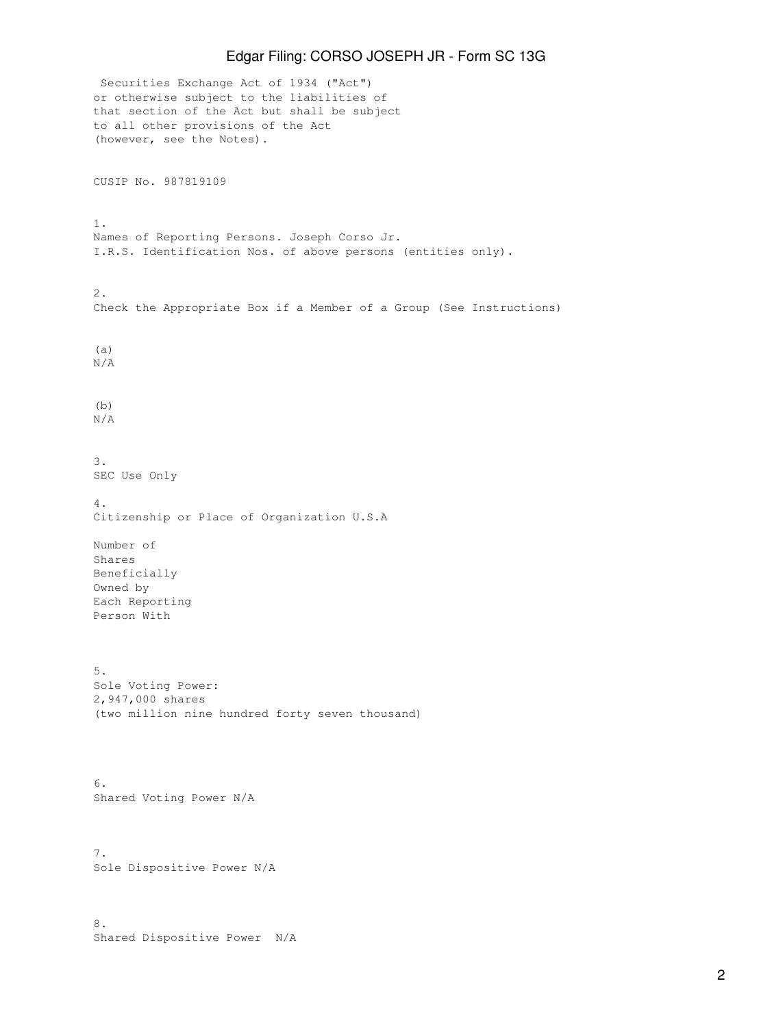Securities Exchange Act of 1934 ("Act") or otherwise subject to the liabilities of that section of the Act but shall be subject to all other provisions of the Act (however, see the Notes). CUSIP No. 987819109 1. Names of Reporting Persons. Joseph Corso Jr. I.R.S. Identification Nos. of above persons (entities only). 2. Check the Appropriate Box if a Member of a Group (See Instructions) (a) N/A (b) N/A 3. SEC Use Only 4. Citizenship or Place of Organization U.S.A Number of Shares Beneficially Owned by Each Reporting Person With 5. Sole Voting Power: 2,947,000 shares (two million nine hundred forty seven thousand) 6. Shared Voting Power N/A 7. Sole Dispositive Power N/A 8. Shared Dispositive Power N/A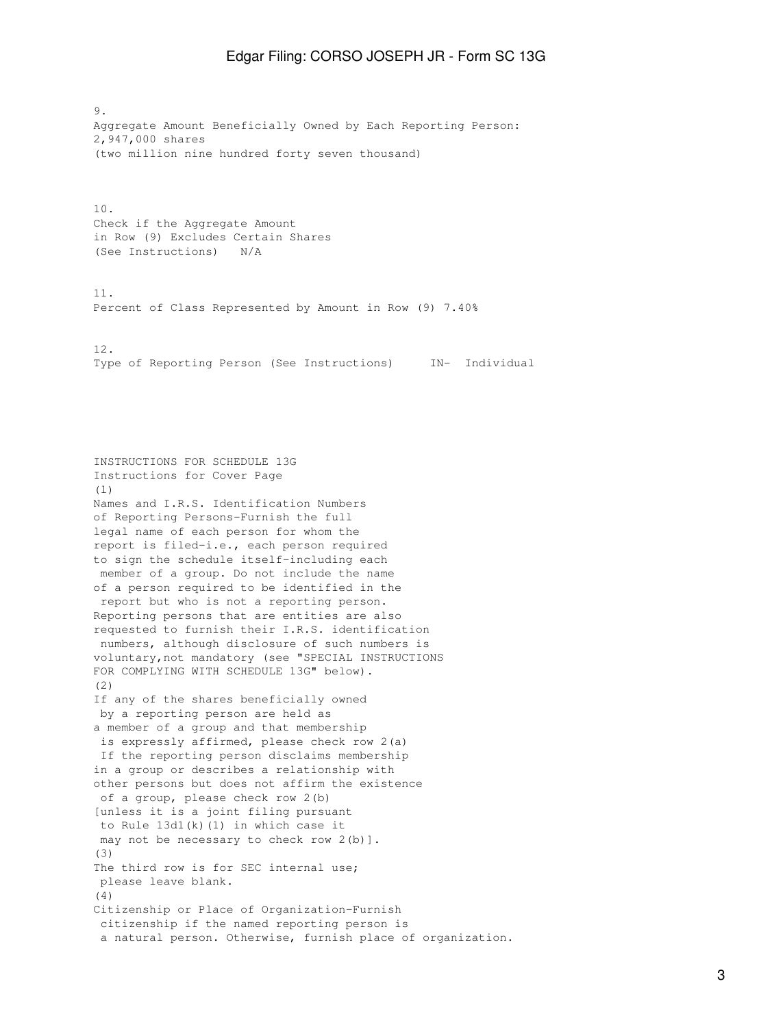9. Aggregate Amount Beneficially Owned by Each Reporting Person: 2,947,000 shares (two million nine hundred forty seven thousand)

10. Check if the Aggregate Amount in Row (9) Excludes Certain Shares (See Instructions) N/A

11. Percent of Class Represented by Amount in Row (9) 7.40%

12. Type of Reporting Person (See Instructions) IN- Individual

INSTRUCTIONS FOR SCHEDULE 13G Instructions for Cover Page  $(1)$ Names and I.R.S. Identification Numbers of Reporting Persons-Furnish the full legal name of each person for whom the report is filed-i.e., each person required to sign the schedule itself-including each member of a group. Do not include the name of a person required to be identified in the report but who is not a reporting person. Reporting persons that are entities are also requested to furnish their I.R.S. identification numbers, although disclosure of such numbers is voluntary,not mandatory (see "SPECIAL INSTRUCTIONS FOR COMPLYING WITH SCHEDULE 13G" below). (2) If any of the shares beneficially owned by a reporting person are held as a member of a group and that membership is expressly affirmed, please check row 2(a) If the reporting person disclaims membership in a group or describes a relationship with other persons but does not affirm the existence of a group, please check row 2(b) [unless it is a joint filing pursuant to Rule 13d1(k)(1) in which case it may not be necessary to check row 2(b)]. (3) The third row is for SEC internal use; please leave blank. (4) Citizenship or Place of Organization-Furnish citizenship if the named reporting person is a natural person. Otherwise, furnish place of organization.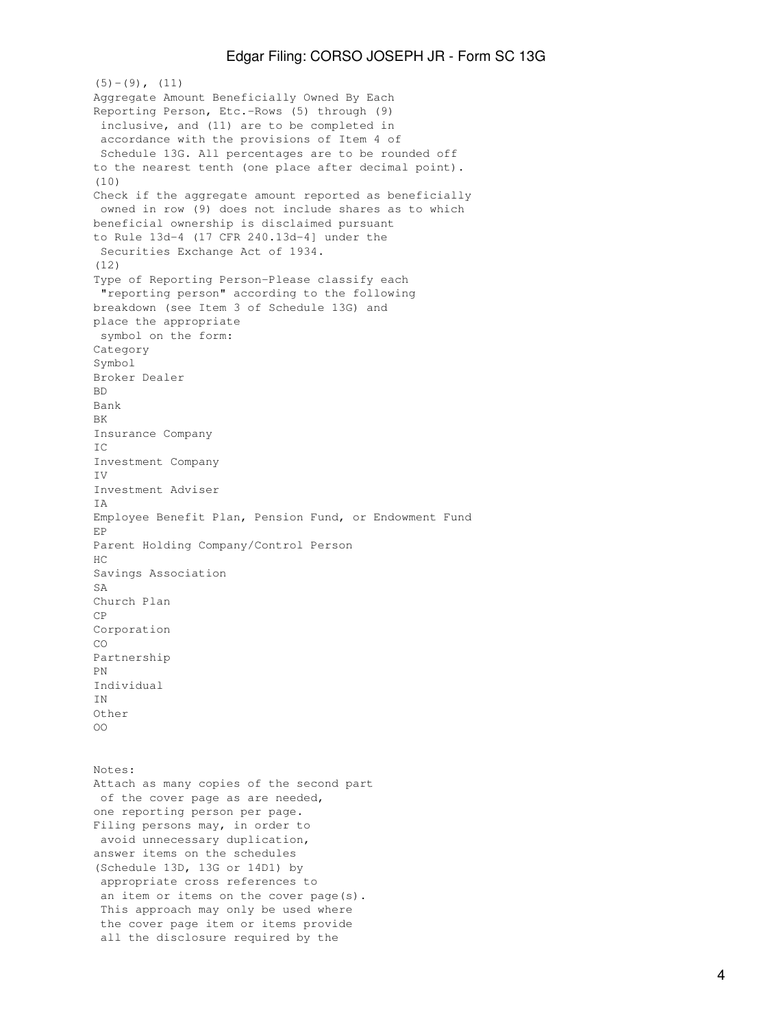```
(5)-(9), (11)Aggregate Amount Beneficially Owned By Each
Reporting Person, Etc.-Rows (5) through (9)
 inclusive, and (11) are to be completed in
 accordance with the provisions of Item 4 of
 Schedule 13G. All percentages are to be rounded off
to the nearest tenth (one place after decimal point).
(10)
Check if the aggregate amount reported as beneficially
 owned in row (9) does not include shares as to which
beneficial ownership is disclaimed pursuant
to Rule 13d-4 (17 CFR 240.13d-4] under the
 Securities Exchange Act of 1934.
(12)
Type of Reporting Person-Please classify each
  "reporting person" according to the following
breakdown (see Item 3 of Schedule 13G) and
place the appropriate
 symbol on the form:
Category
Symbol
Broker Dealer
BD
Bank
BK
Insurance Company
IC
Investment Company
IV
Investment Adviser
T<sub>A</sub>
Employee Benefit Plan, Pension Fund, or Endowment Fund
EP
Parent Holding Company/Control Person
HC
Savings Association
SA
Church Plan
CP
Corporation
CO
Partnership
PN
Individual
IN
Other
OO
Notes:
Attach as many copies of the second part
 of the cover page as are needed,
one reporting person per page.
Filing persons may, in order to
 avoid unnecessary duplication,
answer items on the schedules
(Schedule 13D, 13G or 14D1) by
 appropriate cross references to
  an item or items on the cover page(s).
 This approach may only be used where
  the cover page item or items provide
  all the disclosure required by the
```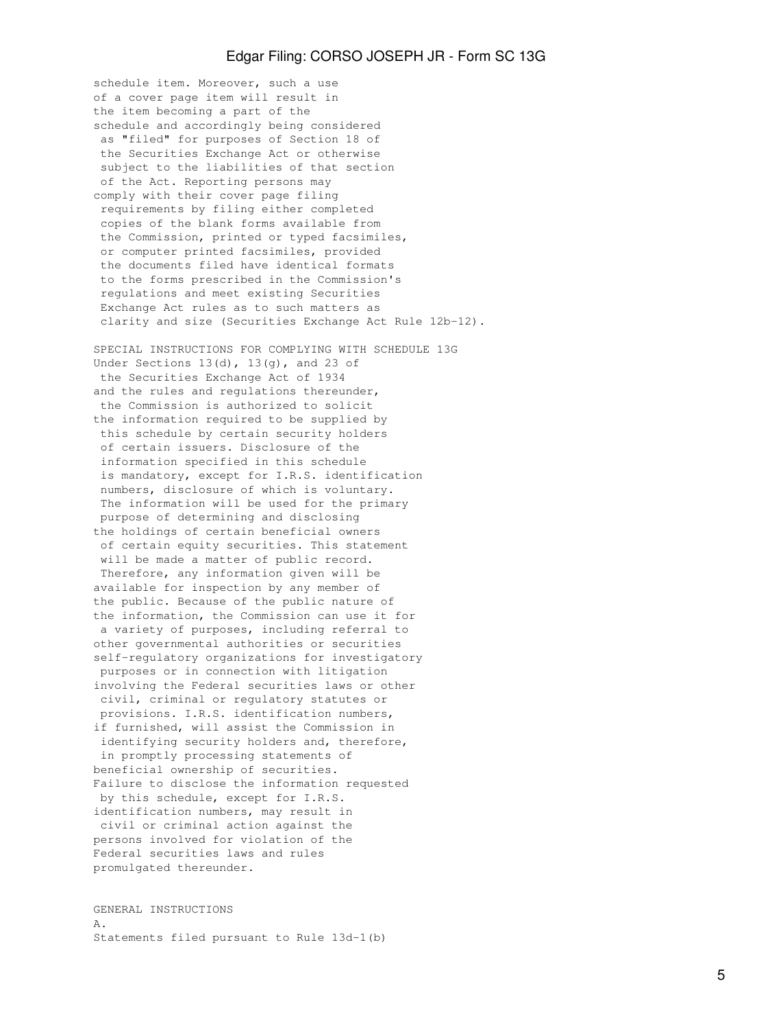schedule item. Moreover, such a use of a cover page item will result in the item becoming a part of the schedule and accordingly being considered as "filed" for purposes of Section 18 of the Securities Exchange Act or otherwise subject to the liabilities of that section of the Act. Reporting persons may comply with their cover page filing requirements by filing either completed copies of the blank forms available from the Commission, printed or typed facsimiles, or computer printed facsimiles, provided the documents filed have identical formats to the forms prescribed in the Commission's regulations and meet existing Securities Exchange Act rules as to such matters as clarity and size (Securities Exchange Act Rule 12b-12). SPECIAL INSTRUCTIONS FOR COMPLYING WITH SCHEDULE 13G Under Sections 13(d), 13(g), and 23 of the Securities Exchange Act of 1934 and the rules and regulations thereunder, the Commission is authorized to solicit the information required to be supplied by this schedule by certain security holders of certain issuers. Disclosure of the information specified in this schedule is mandatory, except for I.R.S. identification numbers, disclosure of which is voluntary. The information will be used for the primary purpose of determining and disclosing the holdings of certain beneficial owners of certain equity securities. This statement will be made a matter of public record. Therefore, any information given will be available for inspection by any member of the public. Because of the public nature of the information, the Commission can use it for a variety of purposes, including referral to other governmental authorities or securities self-regulatory organizations for investigatory purposes or in connection with litigation involving the Federal securities laws or other civil, criminal or regulatory statutes or provisions. I.R.S. identification numbers, if furnished, will assist the Commission in identifying security holders and, therefore, in promptly processing statements of beneficial ownership of securities. Failure to disclose the information requested by this schedule, except for I.R.S. identification numbers, may result in civil or criminal action against the persons involved for violation of the Federal securities laws and rules promulgated thereunder.

GENERAL INSTRUCTIONS A. Statements filed pursuant to Rule 13d-1(b)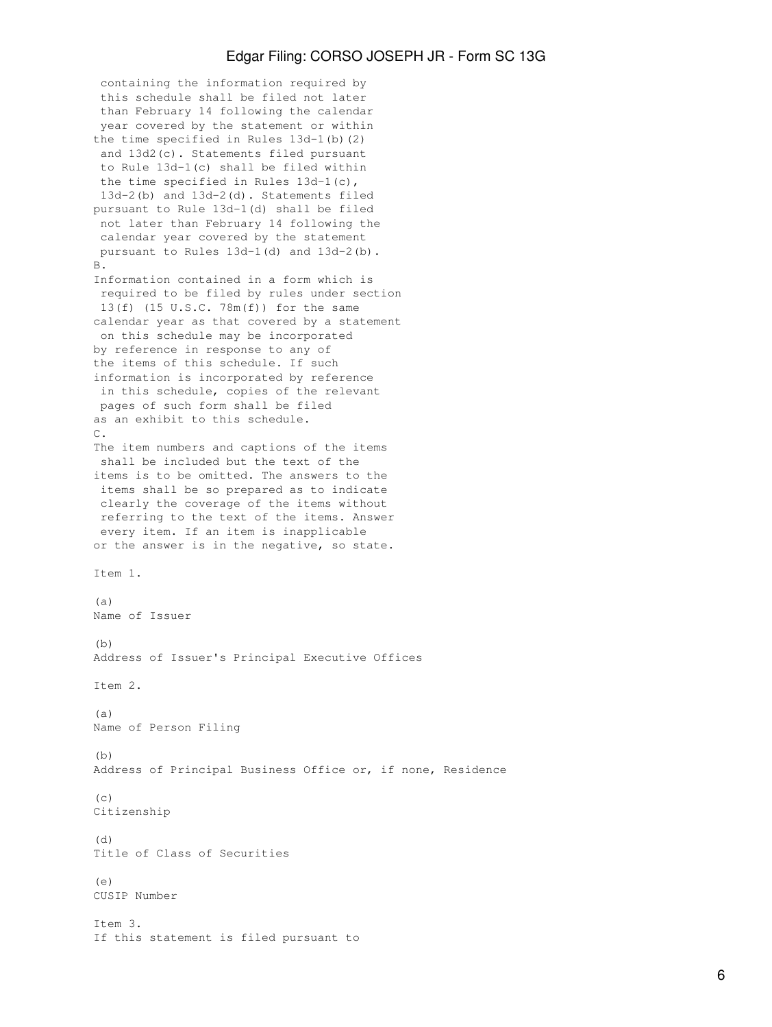```
 containing the information required by
  this schedule shall be filed not later
  than February 14 following the calendar
  year covered by the statement or within
the time specified in Rules 13d-1(b)(2)
  and 13d2(c). Statements filed pursuant
  to Rule 13d-1(c) shall be filed within
 the time specified in Rules 13d-1(c),
 13d-2(b) and 13d-2(d). Statements filed
pursuant to Rule 13d-1(d) shall be filed
 not later than February 14 following the
  calendar year covered by the statement
 pursuant to Rules 13d-1(d) and 13d-2(b).
B.
Information contained in a form which is
 required to be filed by rules under section
 13(f) (15 U.S.C. 78m(f)) for the same
calendar year as that covered by a statement
 on this schedule may be incorporated
by reference in response to any of
the items of this schedule. If such
information is incorporated by reference
 in this schedule, copies of the relevant
 pages of such form shall be filed
as an exhibit to this schedule.
\capThe item numbers and captions of the items
 shall be included but the text of the
items is to be omitted. The answers to the
 items shall be so prepared as to indicate
 clearly the coverage of the items without
 referring to the text of the items. Answer
 every item. If an item is inapplicable
or the answer is in the negative, so state.
Item 1.
(a)
Name of Issuer
(b)
Address of Issuer's Principal Executive Offices
Item 2.
(a)
Name of Person Filing
(b)
Address of Principal Business Office or, if none, Residence
(c)
Citizenship
(d)Title of Class of Securities
(e)CUSIP Number
Item 3.
If this statement is filed pursuant to
```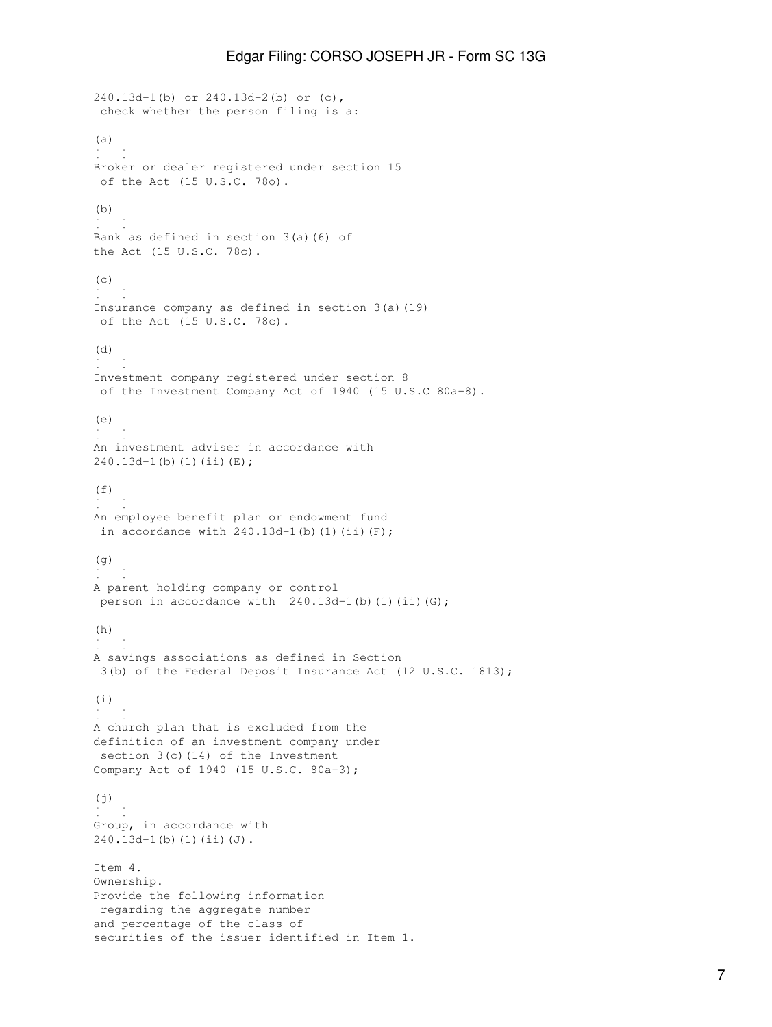```
240.13d-1(b) or 240.13d-2(b) or (c),
 check whether the person filing is a:
(a)
\lceil \rceilBroker or dealer registered under section 15
 of the Act (15 U.S.C. 78o).
(b)
\lceil \rceilBank as defined in section 3(a)(6) of
the Act (15 U.S.C. 78c).
(c)
[-]Insurance company as defined in section 3(a)(19)
 of the Act (15 U.S.C. 78c).
(d)
[ ]Investment company registered under section 8
 of the Investment Company Act of 1940 (15 U.S.C 80a-8).
(e)
[ ]An investment adviser in accordance with
240.13d-1(b)(1)(ii)(E);
(f)\lceil \lceil \lceilAn employee benefit plan or endowment fund
in accordance with 240.13d-1(b)(1)(ii)(F);
(g)
[-]A parent holding company or control
person in accordance with 240.13d-1(b)(1)(ii)(G);
(h)
[ ]A savings associations as defined in Section
 3(b) of the Federal Deposit Insurance Act (12 U.S.C. 1813);
(i)
[ ]A church plan that is excluded from the
definition of an investment company under
section 3(c) (14) of the Investment
Company Act of 1940 (15 U.S.C. 80a-3);
(j)
\lceil \rceilGroup, in accordance with
240.13d-1(b)(1)(ii)(J).
Item 4.
Ownership.
Provide the following information
 regarding the aggregate number
and percentage of the class of
securities of the issuer identified in Item 1.
```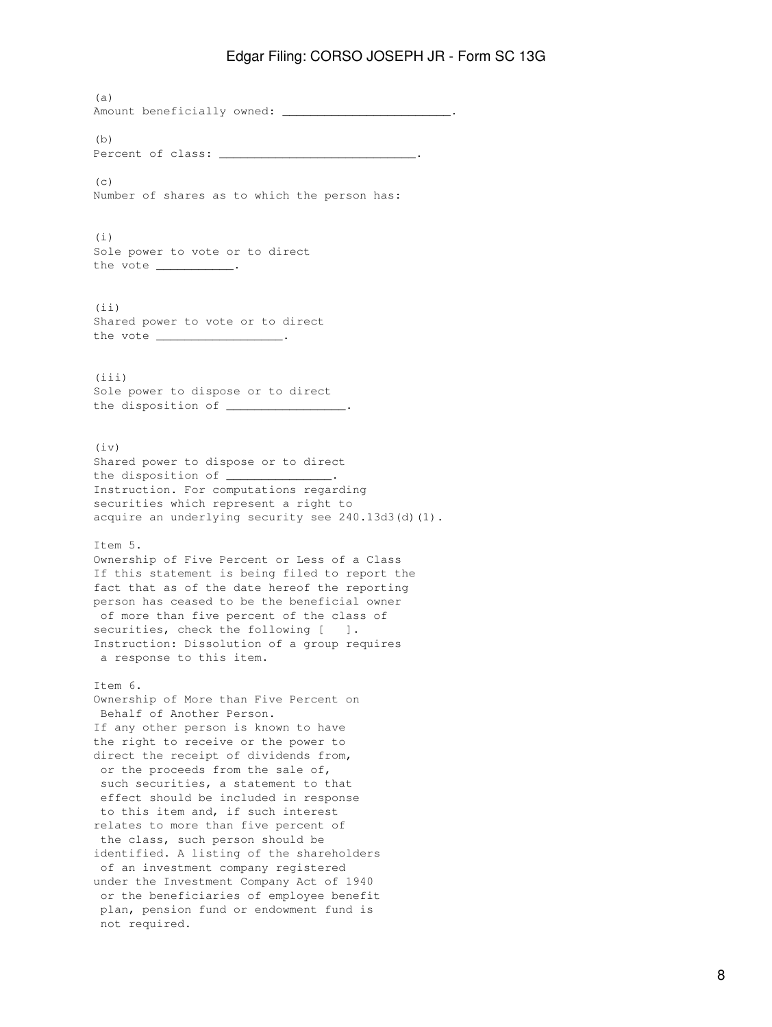(a) Amount beneficially owned: \_\_\_\_\_\_\_\_\_\_\_\_\_\_\_\_\_\_\_\_\_\_\_\_. (b) Percent of class: \_\_\_\_\_\_\_\_\_\_\_\_\_\_\_\_\_\_\_\_\_\_\_\_\_\_\_\_.  $(C)$ Number of shares as to which the person has: (i) Sole power to vote or to direct the vote \_\_\_\_\_\_\_\_\_\_\_. (ii) Shared power to vote or to direct the vote \_\_\_\_\_\_\_\_\_\_\_\_\_\_\_\_\_\_. (iii) Sole power to dispose or to direct the disposition of \_\_\_\_\_\_\_\_\_\_\_\_\_\_\_\_. (iv) Shared power to dispose or to direct the disposition of \_\_\_\_\_\_\_\_\_\_\_\_ Instruction. For computations regarding securities which represent a right to acquire an underlying security see 240.13d3(d)(1). Item 5. Ownership of Five Percent or Less of a Class If this statement is being filed to report the fact that as of the date hereof the reporting person has ceased to be the beneficial owner of more than five percent of the class of securities, check the following [ ]. Instruction: Dissolution of a group requires a response to this item. Item 6. Ownership of More than Five Percent on Behalf of Another Person. If any other person is known to have the right to receive or the power to direct the receipt of dividends from, or the proceeds from the sale of, such securities, a statement to that effect should be included in response to this item and, if such interest relates to more than five percent of the class, such person should be identified. A listing of the shareholders of an investment company registered under the Investment Company Act of 1940 or the beneficiaries of employee benefit plan, pension fund or endowment fund is

not required.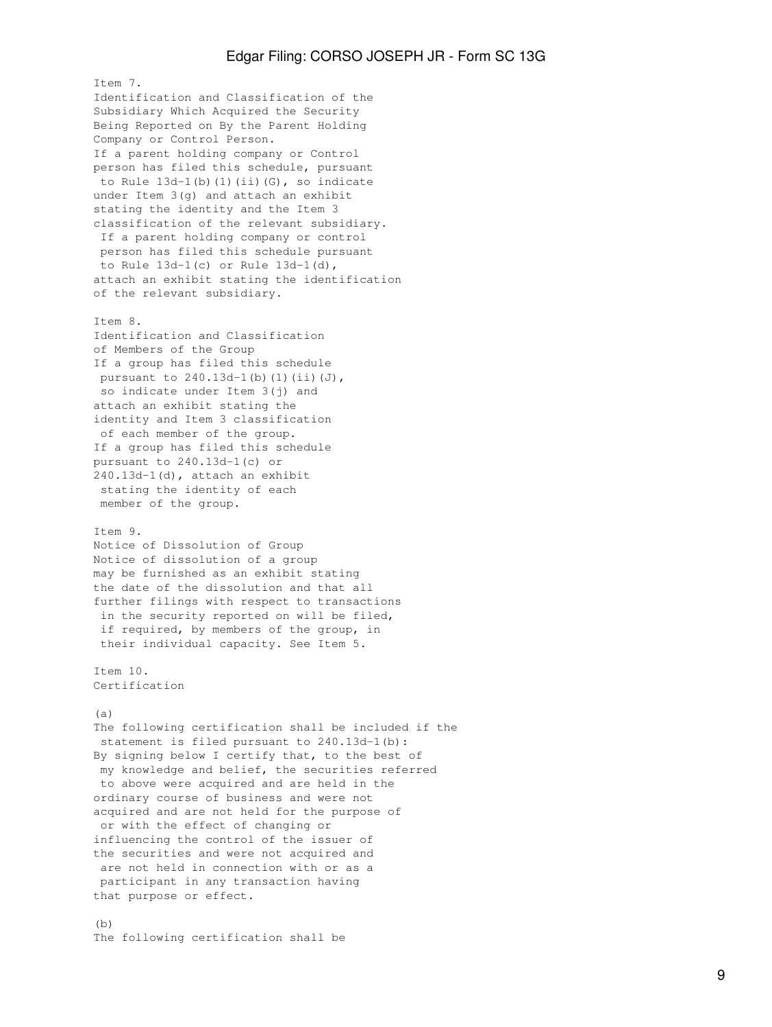Item 7. Identification and Classification of the Subsidiary Which Acquired the Security Being Reported on By the Parent Holding Company or Control Person. If a parent holding company or Control person has filed this schedule, pursuant to Rule  $13d-1$ (b)(1)(ii)(G), so indicate under Item 3(g) and attach an exhibit stating the identity and the Item 3 classification of the relevant subsidiary. If a parent holding company or control person has filed this schedule pursuant to Rule  $13d-1(c)$  or Rule  $13d-1(d)$ , attach an exhibit stating the identification of the relevant subsidiary. Item 8. Identification and Classification of Members of the Group If a group has filed this schedule pursuant to 240.13d-1(b)(1)(ii)(J), so indicate under Item 3(j) and attach an exhibit stating the identity and Item 3 classification of each member of the group. If a group has filed this schedule pursuant to 240.13d-1(c) or 240.13d-1(d), attach an exhibit stating the identity of each member of the group. Item 9. Notice of Dissolution of Group Notice of dissolution of a group may be furnished as an exhibit stating the date of the dissolution and that all further filings with respect to transactions in the security reported on will be filed, if required, by members of the group, in their individual capacity. See Item 5. Item 10. Certification (a) The following certification shall be included if the statement is filed pursuant to 240.13d-1(b): By signing below I certify that, to the best of my knowledge and belief, the securities referred to above were acquired and are held in the ordinary course of business and were not acquired and are not held for the purpose of or with the effect of changing or influencing the control of the issuer of the securities and were not acquired and are not held in connection with or as a participant in any transaction having that purpose or effect.

(b) The following certification shall be